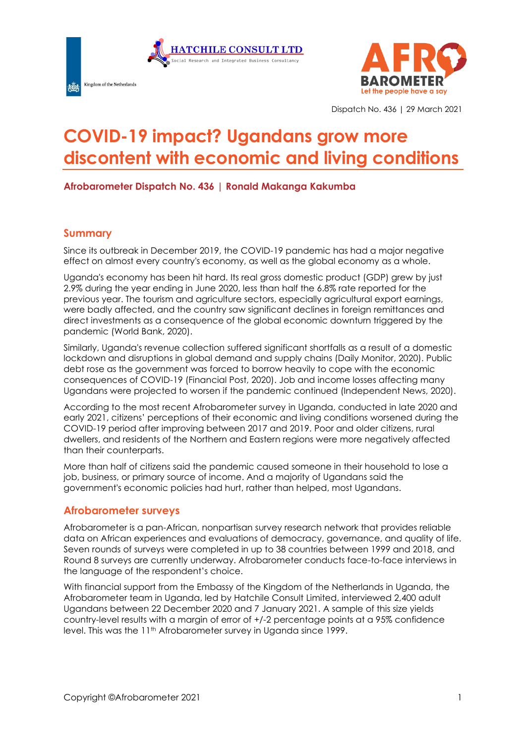



Dispatch No. 436 | 29 March 2021

# **COVID-19 impact? Ugandans grow more discontent with economic and living conditions**

**Afrobarometer Dispatch No. 436 | Ronald Makanga Kakumba**

#### **Summary**

Since its outbreak in December 2019, the COVID-19 pandemic has had a major negative effect on almost every country's economy, as well as the global economy as a whole.

Uganda's economy has been hit hard. Its real gross domestic product (GDP) grew by just 2.9% during the year ending in June 2020, less than half the 6.8% rate reported for the previous year. The tourism and agriculture sectors, especially agricultural export earnings, were badly affected, and the country saw significant declines in foreign remittances and direct investments as a consequence of the global economic downturn triggered by the pandemic (World Bank, 2020).

Similarly, Uganda's revenue collection suffered significant shortfalls as a result of a domestic lockdown and disruptions in global demand and supply chains (Daily Monitor, 2020). Public debt rose as the government was forced to borrow heavily to cope with the economic consequences of COVID-19 (Financial Post, 2020). Job and income losses affecting many Ugandans were projected to worsen if the pandemic continued (Independent News, 2020).

According to the most recent Afrobarometer survey in Uganda, conducted in late 2020 and early 2021, citizens' perceptions of their economic and living conditions worsened during the COVID-19 period after improving between 2017 and 2019. Poor and older citizens, rural dwellers, and residents of the Northern and Eastern regions were more negatively affected than their counterparts.

More than half of citizens said the pandemic caused someone in their household to lose a job, business, or primary source of income. And a majority of Ugandans said the government's economic policies had hurt, rather than helped, most Ugandans.

#### **Afrobarometer surveys**

Afrobarometer is a pan-African, nonpartisan survey research network that provides reliable data on African experiences and evaluations of democracy, governance, and quality of life. Seven rounds of surveys were completed in up to 38 countries between 1999 and 2018, and Round 8 surveys are currently underway. Afrobarometer conducts face-to-face interviews in the language of the respondent's choice.

With financial support from the Embassy of the Kingdom of the Netherlands in Uganda, the Afrobarometer team in Uganda, led by Hatchile Consult Limited, interviewed 2,400 adult Ugandans between 22 December 2020 and 7 January 2021. A sample of this size yields country-level results with a margin of error of +/-2 percentage points at a 95% confidence level. This was the 11th Afrobarometer survey in Uganda since 1999.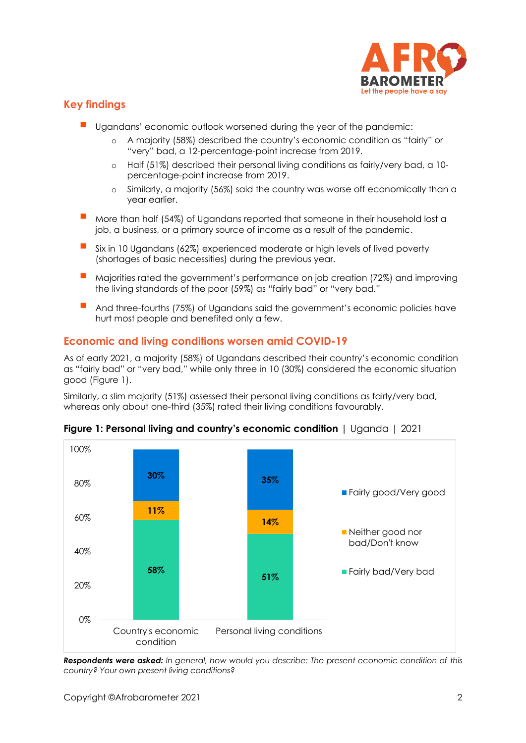

# **Key findings**

- Ugandans' economic outlook worsened during the year of the pandemic:
	- o A majority (58%) described the country's economic condition as "fairly" or "very" bad, a 12-percentage-point increase from 2019.
	- o Half (51%) described their personal living conditions as fairly/very bad, a 10 percentage-point increase from 2019.
	- o Similarly, a majority (56%) said the country was worse off economically than a year earlier.
- More than half (54%) of Ugandans reported that someone in their household lost a job, a business, or a primary source of income as a result of the pandemic.
- Six in 10 Ugandans (62%) experienced moderate or high levels of lived poverty (shortages of basic necessities) during the previous year.
- Majorities rated the government's performance on job creation (72%) and improving the living standards of the poor (59%) as "fairly bad" or "very bad."
- And three-fourths (75%) of Ugandans said the government's economic policies have hurt most people and benefited only a few.

### **Economic and living conditions worsen amid COVID-19**

As of early 2021, a majority (58%) of Ugandans described their country's economic condition as "fairly bad" or "very bad," while only three in 10 (30%) considered the economic situation good (Figure 1).

Similarly, a slim majority (51%) assessed their personal living conditions as fairly/very bad, whereas only about one-third (35%) rated their living conditions favourably.



**Figure 1: Personal living and country's economic condition** | Uganda | 2021

*Respondents were asked: In general, how would you describe: The present economic condition of this country? Your own present living conditions?*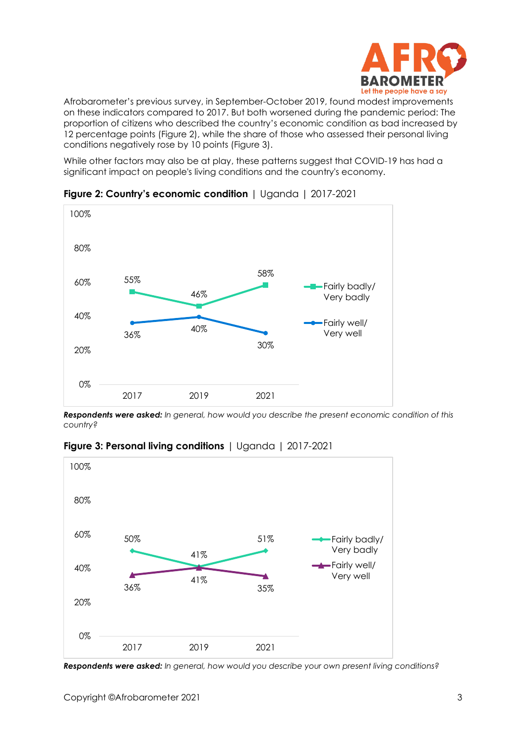

Afrobarometer's previous survey, in September-October 2019, found modest improvements on these indicators compared to 2017. But both worsened during the pandemic period: The proportion of citizens who described the country's economic condition as bad increased by 12 percentage points (Figure 2), while the share of those who assessed their personal living conditions negatively rose by 10 points (Figure 3).

While other factors may also be at play, these patterns suggest that COVID-19 has had a significant impact on people's living conditions and the country's economy.



**Figure 2: Country's economic condition** | Uganda | 2017-2021

*Respondents were asked: In general, how would you describe the present economic condition of this country?* 



**Figure 3: Personal living conditions** | Uganda | 2017-2021

*Respondents were asked: In general, how would you describe your own present living conditions?*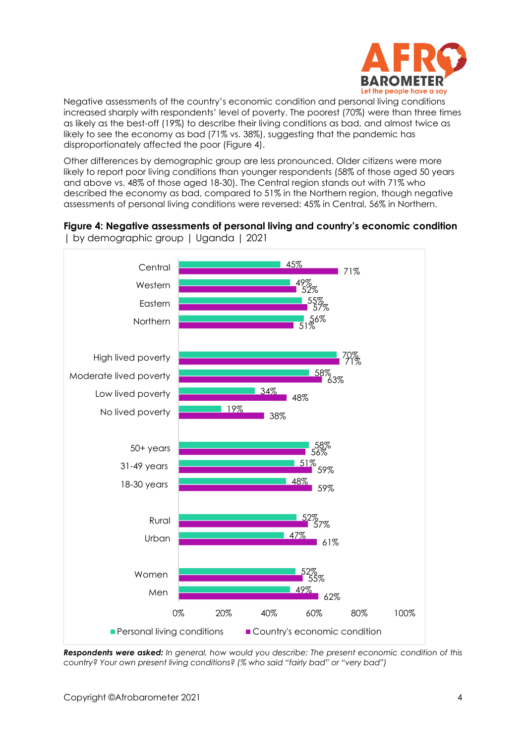

Negative assessments of the country's economic condition and personal living conditions increased sharply with respondents' level of poverty. The poorest (70%) were than three times as likely as the best-off (19%) to describe their living conditions as bad, and almost twice as likely to see the economy as bad (71% vs. 38%), suggesting that the pandemic has disproportionately affected the poor (Figure 4).

Other differences by demographic group are less pronounced. Older citizens were more likely to report poor living conditions than younger respondents (58% of those aged 50 years and above vs. 48% of those aged 18-30). The Central region stands out with 71% who described the economy as bad, compared to 51% in the Northern region, though negative assessments of personal living conditions were reversed: 45% in Central, 56% in Northern.

# **Figure 4: Negative assessments of personal living and country's economic condition**



| by demographic group | Uganda | 2021

*Respondents were asked: In general, how would you describe: The present economic condition of this country? Your own present living conditions? (% who said "fairly bad" or "very bad")*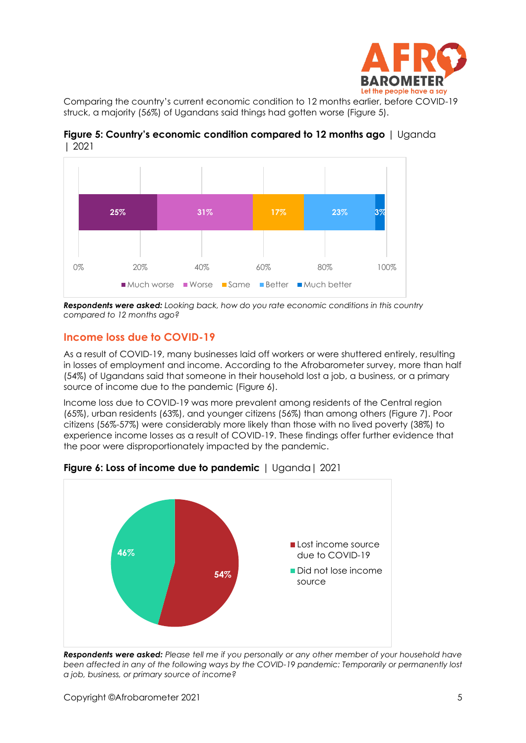

Comparing the country's current economic condition to 12 months earlier, before COVID-19 struck, a majority (56%) of Ugandans said things had gotten worse (Figure 5).





*Respondents were asked: Looking back, how do you rate economic conditions in this country compared to 12 months ago?*

#### **Income loss due to COVID-19**

As a result of COVID-19, many businesses laid off workers or were shuttered entirely, resulting in losses of employment and income. According to the Afrobarometer survey, more than half (54%) of Ugandans said that someone in their household lost a job, a business, or a primary source of income due to the pandemic (Figure 6).

Income loss due to COVID-19 was more prevalent among residents of the Central region (65%), urban residents (63%), and younger citizens (56%) than among others (Figure 7). Poor citizens (56%-57%) were considerably more likely than those with no lived poverty (38%) to experience income losses as a result of COVID-19. These findings offer further evidence that the poor were disproportionately impacted by the pandemic.



**Figure 6: Loss of income due to pandemic** | Uganda| 2021

*Respondents were asked: Please tell me if you personally or any other member of your household have been affected in any of the following ways by the COVID-19 pandemic: Temporarily or permanently lost a job, business, or primary source of income?*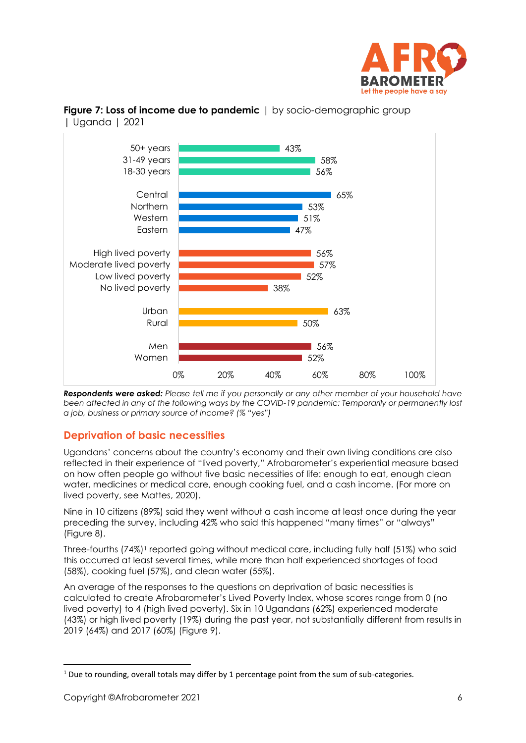



**Figure 7: Loss of income due to pandemic** | by socio-demographic group | Uganda | 2021

*Respondents were asked: Please tell me if you personally or any other member of your household have been affected in any of the following ways by the COVID-19 pandemic: Temporarily or permanently lost a job, business or primary source of income? (% "yes")*

# **Deprivation of basic necessities**

Ugandans' concerns about the country's economy and their own living conditions are also reflected in their experience of "lived poverty," Afrobarometer's experiential measure based on how often people go without five basic necessities of life: enough to eat, enough clean water, medicines or medical care, enough cooking fuel, and a cash income. (For more on lived poverty, see Mattes, 2020).

Nine in 10 citizens (89%) said they went without a cash income at least once during the year preceding the survey, including 42% who said this happened "many times" or "always" (Figure 8).

Three-fourths (74%)<sup>1</sup> reported going without medical care, including fully half (51%) who said this occurred at least several times, while more than half experienced shortages of food (58%), cooking fuel (57%), and clean water (55%).

An average of the responses to the questions on deprivation of basic necessities is calculated to create Afrobarometer's Lived Poverty Index, whose scores range from 0 (no lived poverty) to 4 (high lived poverty). Six in 10 Ugandans (62%) experienced moderate (43%) or high lived poverty (19%) during the past year, not substantially different from results in 2019 (64%) and 2017 (60%) (Figure 9).

 $1$  Due to rounding, overall totals may differ by 1 percentage point from the sum of sub-categories.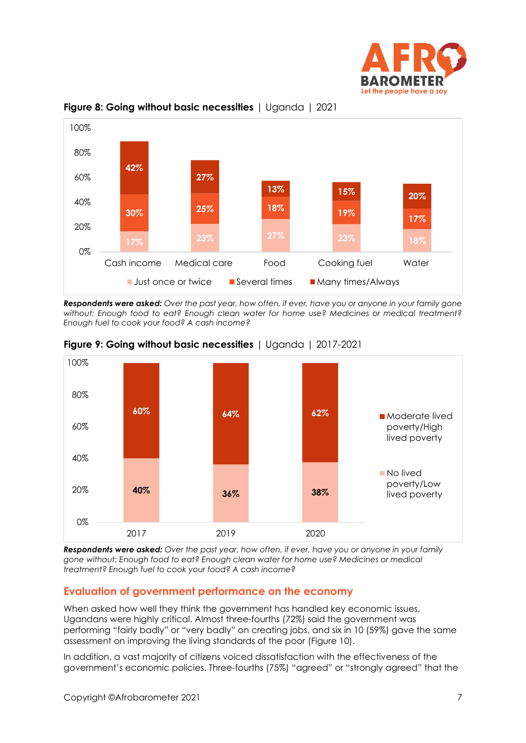



**Figure 8: Going without basic necessities** | Uganda | 2021

*Respondents were asked: Over the past year, how often, if ever, have you or anyone in your family gone without: Enough food to eat? Enough clean water for home use? Medicines or medical treatment? Enough fuel to cook your food? A cash income?*





*Respondents were asked: Over the past year, how often, if ever, have you or anyone in your family gone without: Enough food to eat? Enough clean water for home use? Medicines or medical treatment? Enough fuel to cook your food? A cash income?*

# **Evaluation of government performance on the economy**

When asked how well they think the government has handled key economic issues, Ugandans were highly critical. Almost three-fourths (72%) said the government was performing "fairly badly" or "very badly" on creating jobs, and six in 10 (59%) gave the same assessment on improving the living standards of the poor (Figure 10).

In addition, a vast majority of citizens voiced dissatisfaction with the effectiveness of the government's economic policies. Three-fourths (75%) "agreed" or "strongly agreed" that the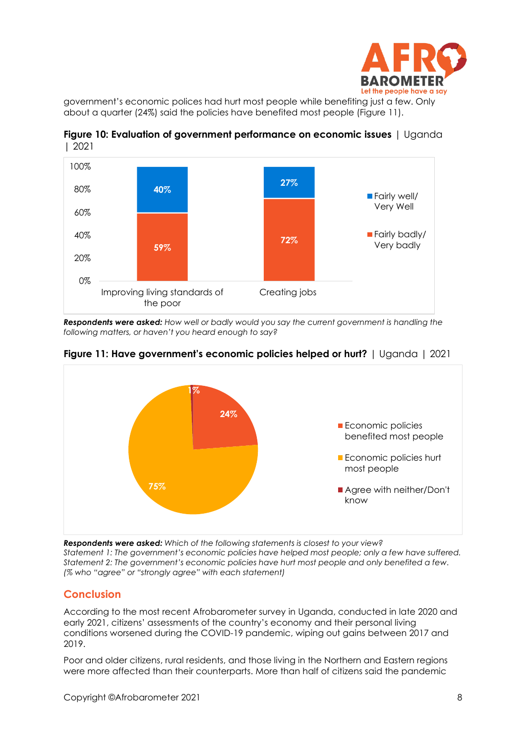

government's economic polices had hurt most people while benefiting just a few. Only about a quarter (24%) said the policies have benefited most people (Figure 11).





*Respondents were asked: How well or badly would you say the current government is handling the following matters, or haven't you heard enough to say?*



**Figure 11: Have government's economic policies helped or hurt?** | Uganda | 2021

*Respondents were asked: Which of the following statements is closest to your view? Statement 1: The government's economic policies have helped most people; only a few have suffered. Statement 2: The government's economic policies have hurt most people and only benefited a few. (% who "agree" or "strongly agree" with each statement)*

# **Conclusion**

According to the most recent Afrobarometer survey in Uganda, conducted in late 2020 and early 2021, citizens' assessments of the country's economy and their personal living conditions worsened during the COVID-19 pandemic, wiping out gains between 2017 and 2019.

Poor and older citizens, rural residents, and those living in the Northern and Eastern regions were more affected than their counterparts. More than half of citizens said the pandemic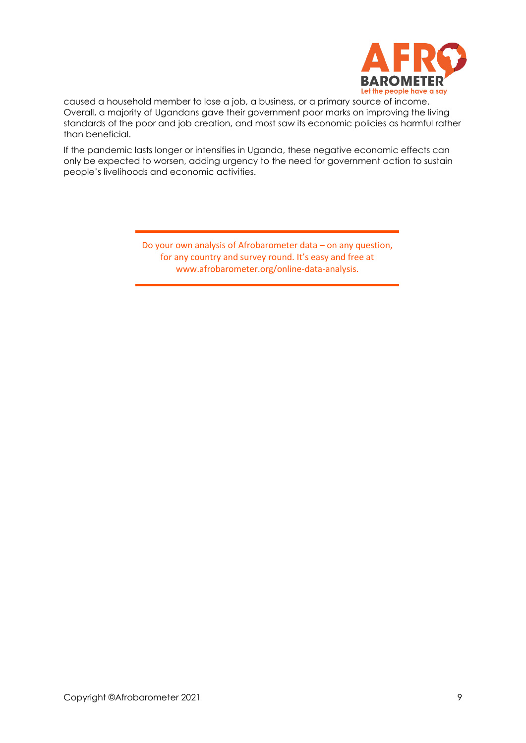

caused a household member to lose a job, a business, or a primary source of income. Overall, a majority of Ugandans gave their government poor marks on improving the living standards of the poor and job creation, and most saw its economic policies as harmful rather than beneficial.

If the pandemic lasts longer or intensifies in Uganda, these negative economic effects can only be expected to worsen, adding urgency to the need for government action to sustain people's livelihoods and economic activities.

> Do your own analysis of Afrobarometer data – on any question, for any country and survey round. It's easy and free at www.afrobarometer.org/online-data-analysis.